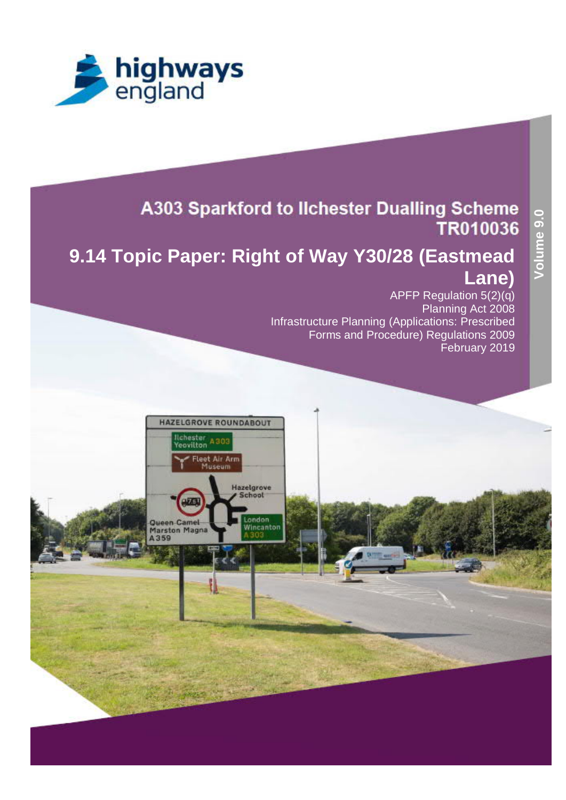



## A303 Sparkford to Ilchester Dualling Scheme TR010036

# **9.14 Topic Paper: Right of Way Y30/28 (Eastmead Lane)**

APFP Regulation 5(2)(q) Planning Act 2008 Infrastructure Planning (Applications: Prescribed Forms and Procedure) Regulations 2009 February 2019

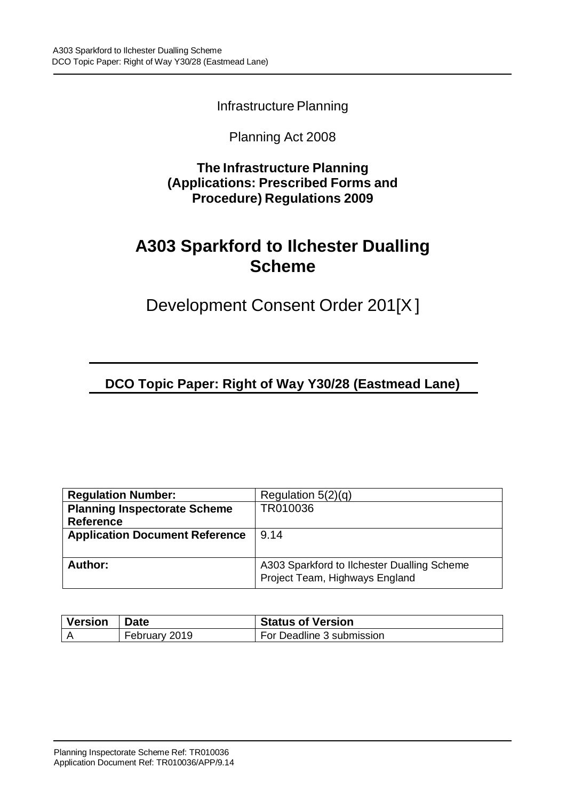Infrastructure Planning

#### Planning Act 2008

**The Infrastructure Planning (Applications: Prescribed Forms and Procedure) Regulations 2009**

## **A303 Sparkford to Ilchester Dualling Scheme**

Development Consent Order 201[X ]

**DCO Topic Paper: Right of Way Y30/28 (Eastmead Lane)**

| <b>Regulation Number:</b>             | Regulation $5(2)(q)$                                                          |  |
|---------------------------------------|-------------------------------------------------------------------------------|--|
| <b>Planning Inspectorate Scheme</b>   | TR010036                                                                      |  |
| <b>Reference</b>                      |                                                                               |  |
| <b>Application Document Reference</b> | 9.14                                                                          |  |
|                                       |                                                                               |  |
| Author:                               | A303 Sparkford to Ilchester Dualling Scheme<br>Project Team, Highways England |  |

| <b>Version</b> | <b>Date</b>   | <b>Status of Version</b>  |
|----------------|---------------|---------------------------|
|                | February 2019 | For Deadline 3 submission |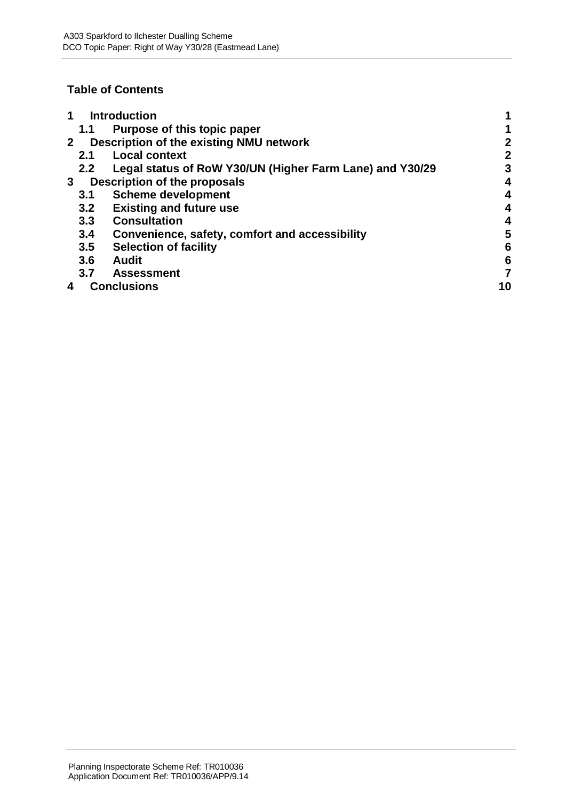#### **Table of Contents**

|                | <b>Introduction</b>                         |                                                          |    |
|----------------|---------------------------------------------|----------------------------------------------------------|----|
|                | 1.1                                         | Purpose of this topic paper                              |    |
| 2 <sup>1</sup> |                                             | Description of the existing NMU network                  | 2  |
|                | 2.1                                         | <b>Local context</b>                                     | 2  |
|                | $2.2^{\circ}$                               | Legal status of RoW Y30/UN (Higher Farm Lane) and Y30/29 | 3  |
|                | Description of the proposals<br>$3^{\circ}$ |                                                          |    |
|                | 3.1                                         | <b>Scheme development</b>                                | 4  |
|                | 3.2                                         | <b>Existing and future use</b>                           | 4  |
|                | 3.3                                         | <b>Consultation</b>                                      | 4  |
|                | 3.4                                         | Convenience, safety, comfort and accessibility           | 5  |
|                | 3.5                                         | <b>Selection of facility</b>                             | 6  |
|                | 3.6                                         | <b>Audit</b>                                             | 6  |
|                | 3.7                                         | <b>Assessment</b>                                        |    |
|                |                                             | <b>Conclusions</b>                                       | 10 |
|                |                                             |                                                          |    |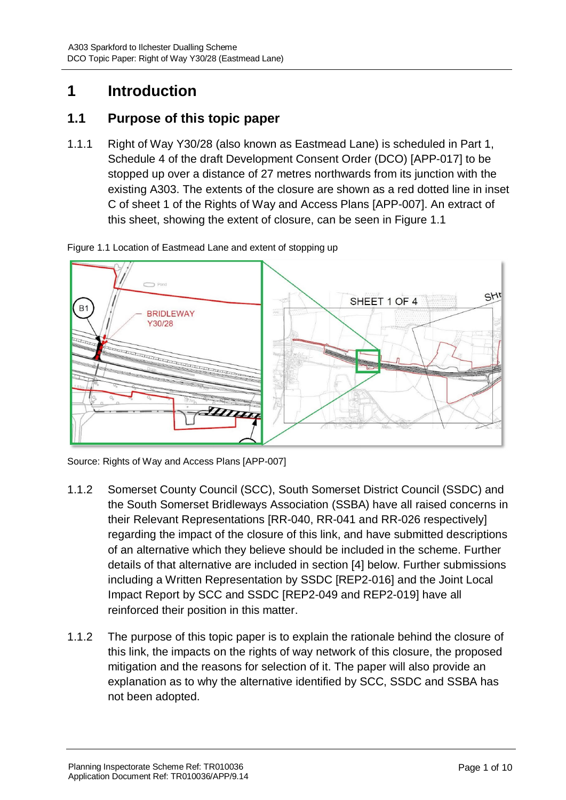## **1 Introduction**

#### **1.1 Purpose of this topic paper**

1.1.1 Right of Way Y30/28 (also known as Eastmead Lane) is scheduled in Part 1, Schedule 4 of the draft Development Consent Order (DCO) [APP-017] to be stopped up over a distance of 27 metres northwards from its junction with the existing A303. The extents of the closure are shown as a red dotted line in inset C of sheet 1 of the Rights of Way and Access Plans [APP-007]. An extract of this sheet, showing the extent of closure, can be seen in Figure 1.1

Figure 1.1 Location of Eastmead Lane and extent of stopping up



Source: Rights of Way and Access Plans [APP-007]

- 1.1.2 Somerset County Council (SCC), South Somerset District Council (SSDC) and the South Somerset Bridleways Association (SSBA) have all raised concerns in their Relevant Representations [RR-040, RR-041 and RR-026 respectively] regarding the impact of the closure of this link, and have submitted descriptions of an alternative which they believe should be included in the scheme. Further details of that alternative are included in section [4] below. Further submissions including a Written Representation by SSDC [REP2-016] and the Joint Local Impact Report by SCC and SSDC [REP2-049 and REP2-019] have all reinforced their position in this matter.
- 1.1.2 The purpose of this topic paper is to explain the rationale behind the closure of this link, the impacts on the rights of way network of this closure, the proposed mitigation and the reasons for selection of it. The paper will also provide an explanation as to why the alternative identified by SCC, SSDC and SSBA has not been adopted.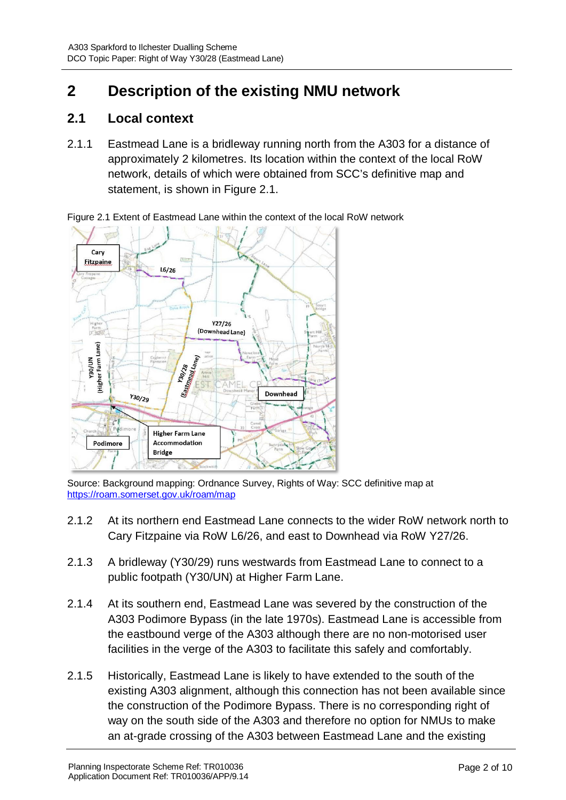## **2 Description of the existing NMU network**

#### **2.1 Local context**

2.1.1 Eastmead Lane is a bridleway running north from the A303 for a distance of approximately 2 kilometres. Its location within the context of the local RoW network, details of which were obtained from SCC's definitive map and statement, is shown in Figure 2.1.

 $Carv$ **Fitzpaine**  $16/26$  $Y27/26$ (Downhead Lane) (Higher Farm Lane)  $t_{4n_{\rm eq}}$ **MN/08 M30/28** Eastmeet 130/28 Downhead  $Y_{30/29}$ **Higher Farm Lane** Podimore Accommodation **Bridge** 

Figure 2.1 Extent of Eastmead Lane within the context of the local RoW network

Source: Background mapping: Ordnance Survey, Rights of Way: SCC definitive map at https://roam.somerset.gov.uk/roam/map

- 2.1.2 At its northern end Eastmead Lane connects to the wider RoW network north to Cary Fitzpaine via RoW L6/26, and east to Downhead via RoW Y27/26.
- 2.1.3 A bridleway (Y30/29) runs westwards from Eastmead Lane to connect to a public footpath (Y30/UN) at Higher Farm Lane.
- 2.1.4 At its southern end, Eastmead Lane was severed by the construction of the A303 Podimore Bypass (in the late 1970s). Eastmead Lane is accessible from the eastbound verge of the A303 although there are no non-motorised user facilities in the verge of the A303 to facilitate this safely and comfortably.
- 2.1.5 Historically, Eastmead Lane is likely to have extended to the south of the existing A303 alignment, although this connection has not been available since the construction of the Podimore Bypass. There is no corresponding right of way on the south side of the A303 and therefore no option for NMUs to make an at-grade crossing of the A303 between Eastmead Lane and the existing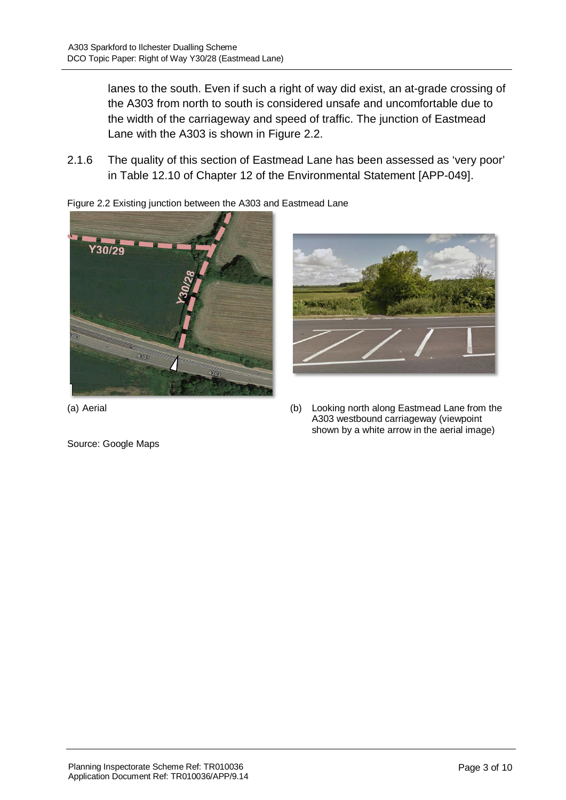lanes to the south. Even if such a right of way did exist, an at-grade crossing of the A303 from north to south is considered unsafe and uncomfortable due to the width of the carriageway and speed of traffic. The junction of Eastmead Lane with the A303 is shown in Figure 2.2.

2.1.6 The quality of this section of Eastmead Lane has been assessed as 'very poor' in Table 12.10 of Chapter 12 of the Environmental Statement [APP-049].

Figure 2.2 Existing junction between the A303 and Eastmead Lane





Source: Google Maps

(a) Aerial (b) Looking north along Eastmead Lane from the A303 westbound carriageway (viewpoint shown by a white arrow in the aerial image)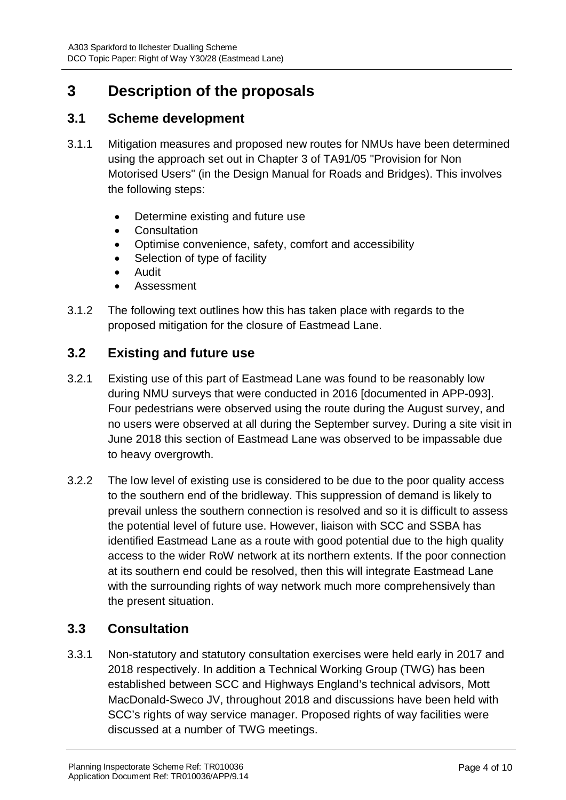### **3 Description of the proposals**

#### **3.1 Scheme development**

- 3.1.1 Mitigation measures and proposed new routes for NMUs have been determined using the approach set out in Chapter 3 of TA91/05 "Provision for Non Motorised Users" (in the Design Manual for Roads and Bridges). This involves the following steps:
	- · Determine existing and future use
	- · Consultation
	- · Optimise convenience, safety, comfort and accessibility
	- Selection of type of facility
	- · Audit
	- **Assessment**
- 3.1.2 The following text outlines how this has taken place with regards to the proposed mitigation for the closure of Eastmead Lane.

#### **3.2 Existing and future use**

- 3.2.1 Existing use of this part of Eastmead Lane was found to be reasonably low during NMU surveys that were conducted in 2016 [documented in APP-093]. Four pedestrians were observed using the route during the August survey, and no users were observed at all during the September survey. During a site visit in June 2018 this section of Eastmead Lane was observed to be impassable due to heavy overgrowth.
- 3.2.2 The low level of existing use is considered to be due to the poor quality access to the southern end of the bridleway. This suppression of demand is likely to prevail unless the southern connection is resolved and so it is difficult to assess the potential level of future use. However, liaison with SCC and SSBA has identified Eastmead Lane as a route with good potential due to the high quality access to the wider RoW network at its northern extents. If the poor connection at its southern end could be resolved, then this will integrate Eastmead Lane with the surrounding rights of way network much more comprehensively than the present situation.

#### **3.3 Consultation**

3.3.1 Non-statutory and statutory consultation exercises were held early in 2017 and 2018 respectively. In addition a Technical Working Group (TWG) has been established between SCC and Highways England's technical advisors, Mott MacDonald-Sweco JV, throughout 2018 and discussions have been held with SCC's rights of way service manager. Proposed rights of way facilities were discussed at a number of TWG meetings.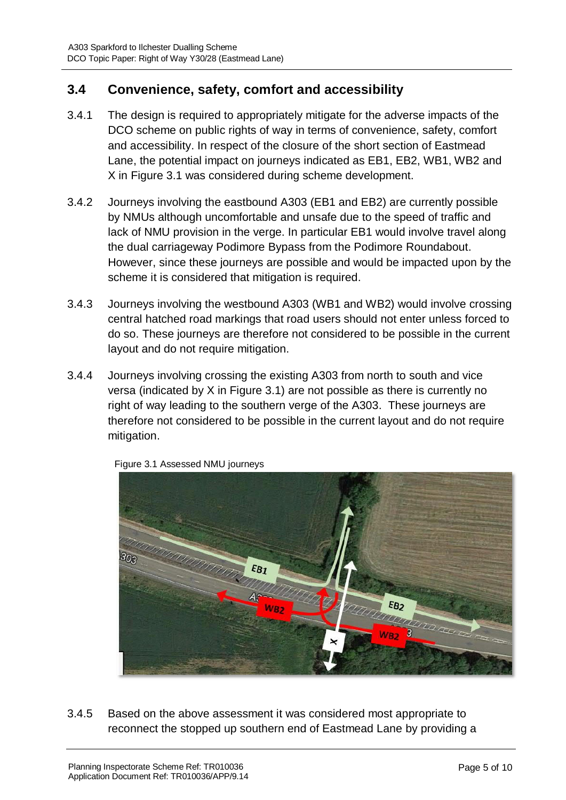#### **3.4 Convenience, safety, comfort and accessibility**

- 3.4.1 The design is required to appropriately mitigate for the adverse impacts of the DCO scheme on public rights of way in terms of convenience, safety, comfort and accessibility. In respect of the closure of the short section of Eastmead Lane, the potential impact on journeys indicated as EB1, EB2, WB1, WB2 and X in Figure 3.1 was considered during scheme development.
- 3.4.2 Journeys involving the eastbound A303 (EB1 and EB2) are currently possible by NMUs although uncomfortable and unsafe due to the speed of traffic and lack of NMU provision in the verge. In particular EB1 would involve travel along the dual carriageway Podimore Bypass from the Podimore Roundabout. However, since these journeys are possible and would be impacted upon by the scheme it is considered that mitigation is required.
- 3.4.3 Journeys involving the westbound A303 (WB1 and WB2) would involve crossing central hatched road markings that road users should not enter unless forced to do so. These journeys are therefore not considered to be possible in the current layout and do not require mitigation.
- 3.4.4 Journeys involving crossing the existing A303 from north to south and vice versa (indicated by X in Figure 3.1) are not possible as there is currently no right of way leading to the southern verge of the A303. These journeys are therefore not considered to be possible in the current layout and do not require mitigation.



Figure 3.1 Assessed NMU journeys

3.4.5 Based on the above assessment it was considered most appropriate to reconnect the stopped up southern end of Eastmead Lane by providing a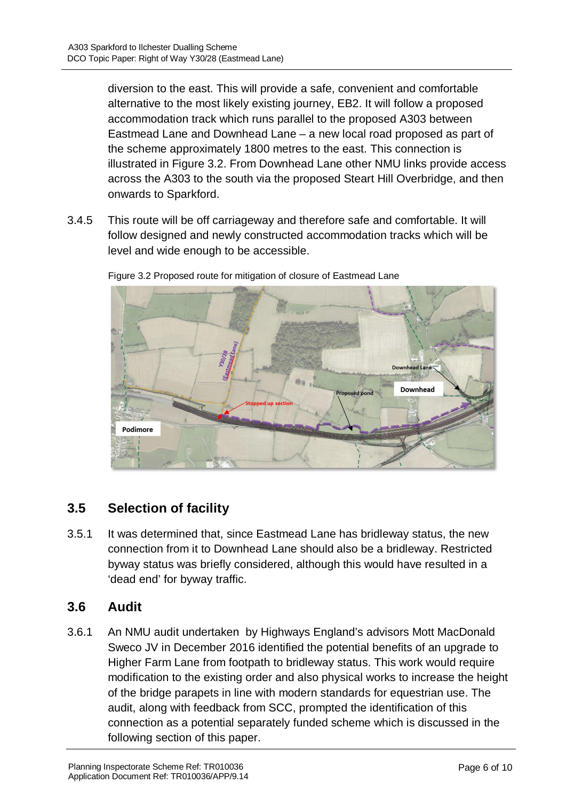diversion to the east. This will provide a safe, convenient and comfortable alternative to the most likely existing journey, EB2. It will follow a proposed accommodation track which runs parallel to the proposed A303 between Eastmead Lane and Downhead Lane – a new local road proposed as part of the scheme approximately 1800 metres to the east. This connection is illustrated in Figure 3.2. From Downhead Lane other NMU links provide access across the A303 to the south via the proposed Steart Hill Overbridge, and then onwards to Sparkford.

3.4.5 This route will be off carriageway and therefore safe and comfortable. It will follow designed and newly constructed accommodation tracks which will be level and wide enough to be accessible.



Figure 3.2 Proposed route for mitigation of closure of Eastmead Lane

### **3.5 Selection of facility**

3.5.1 It was determined that, since Eastmead Lane has bridleway status, the new connection from it to Downhead Lane should also be a bridleway. Restricted byway status was briefly considered, although this would have resulted in a 'dead end' for byway traffic.

#### **3.6 Audit**

3.6.1 An NMU audit undertaken by Highways England's advisors Mott MacDonald Sweco JV in December 2016 identified the potential benefits of an upgrade to Higher Farm Lane from footpath to bridleway status. This work would require modification to the existing order and also physical works to increase the height of the bridge parapets in line with modern standards for equestrian use. The audit, along with feedback from SCC, prompted the identification of this connection as a potential separately funded scheme which is discussed in the following section of this paper.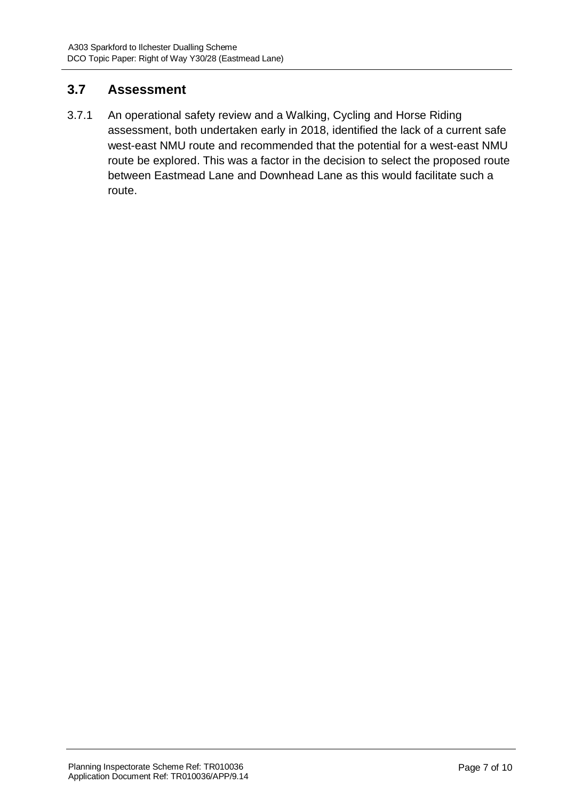### **3.7 Assessment**

3.7.1 An operational safety review and a Walking, Cycling and Horse Riding assessment, both undertaken early in 2018, identified the lack of a current safe west-east NMU route and recommended that the potential for a west-east NMU route be explored. This was a factor in the decision to select the proposed route between Eastmead Lane and Downhead Lane as this would facilitate such a route.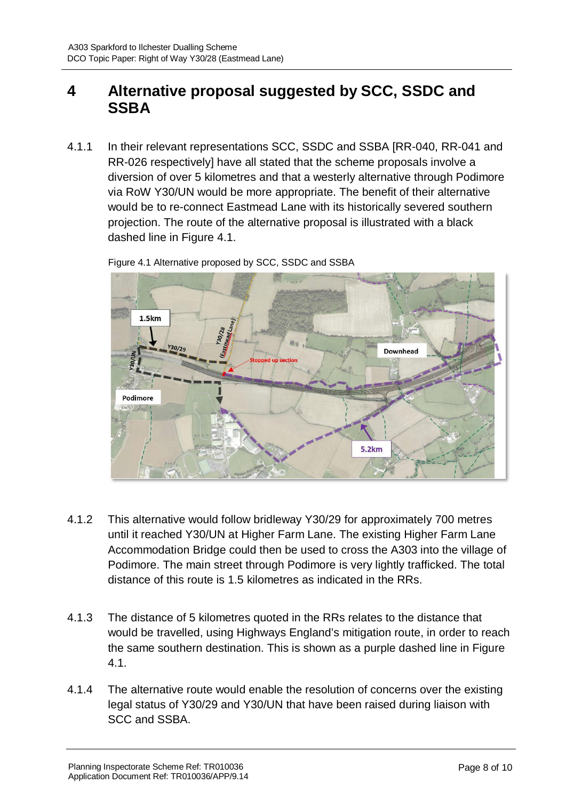### **4 Alternative proposal suggested by SCC, SSDC and SSBA**

4.1.1 In their relevant representations SCC, SSDC and SSBA [RR-040, RR-041 and RR-026 respectively] have all stated that the scheme proposals involve a diversion of over 5 kilometres and that a westerly alternative through Podimore via RoW Y30/UN would be more appropriate. The benefit of their alternative would be to re-connect Eastmead Lane with its historically severed southern projection. The route of the alternative proposal is illustrated with a black dashed line in Figure 4.1.



Figure 4.1 Alternative proposed by SCC, SSDC and SSBA

- 4.1.2 This alternative would follow bridleway Y30/29 for approximately 700 metres until it reached Y30/UN at Higher Farm Lane. The existing Higher Farm Lane Accommodation Bridge could then be used to cross the A303 into the village of Podimore. The main street through Podimore is very lightly trafficked. The total distance of this route is 1.5 kilometres as indicated in the RRs.
- 4.1.3 The distance of 5 kilometres quoted in the RRs relates to the distance that would be travelled, using Highways England's mitigation route, in order to reach the same southern destination. This is shown as a purple dashed line in Figure 4.1.
- 4.1.4 The alternative route would enable the resolution of concerns over the existing legal status of Y30/29 and Y30/UN that have been raised during liaison with SCC and SSBA.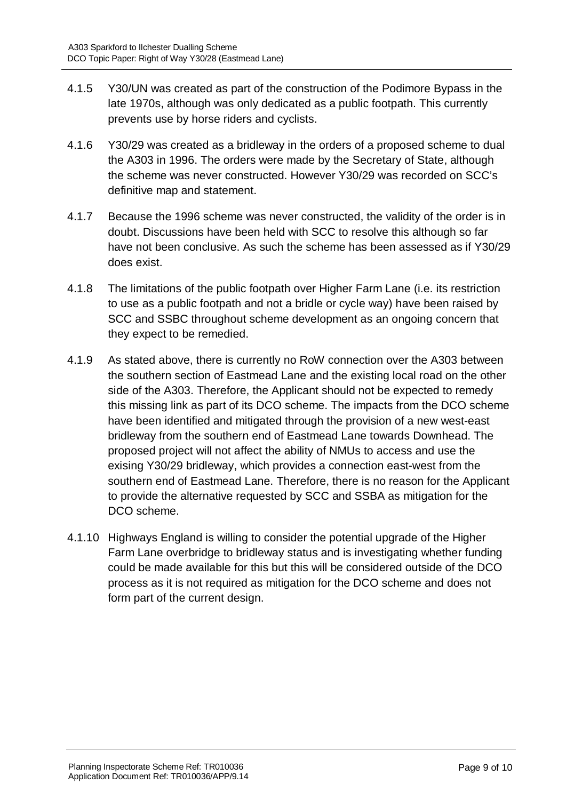- 4.1.5 Y30/UN was created as part of the construction of the Podimore Bypass in the late 1970s, although was only dedicated as a public footpath. This currently prevents use by horse riders and cyclists.
- 4.1.6 Y30/29 was created as a bridleway in the orders of a proposed scheme to dual the A303 in 1996. The orders were made by the Secretary of State, although the scheme was never constructed. However Y30/29 was recorded on SCC's definitive map and statement.
- 4.1.7 Because the 1996 scheme was never constructed, the validity of the order is in doubt. Discussions have been held with SCC to resolve this although so far have not been conclusive. As such the scheme has been assessed as if Y30/29 does exist.
- 4.1.8 The limitations of the public footpath over Higher Farm Lane (i.e. its restriction to use as a public footpath and not a bridle or cycle way) have been raised by SCC and SSBC throughout scheme development as an ongoing concern that they expect to be remedied.
- 4.1.9 As stated above, there is currently no RoW connection over the A303 between the southern section of Eastmead Lane and the existing local road on the other side of the A303. Therefore, the Applicant should not be expected to remedy this missing link as part of its DCO scheme. The impacts from the DCO scheme have been identified and mitigated through the provision of a new west-east bridleway from the southern end of Eastmead Lane towards Downhead. The proposed project will not affect the ability of NMUs to access and use the exising Y30/29 bridleway, which provides a connection east-west from the southern end of Eastmead Lane. Therefore, there is no reason for the Applicant to provide the alternative requested by SCC and SSBA as mitigation for the DCO scheme.
- 4.1.10 Highways England is willing to consider the potential upgrade of the Higher Farm Lane overbridge to bridleway status and is investigating whether funding could be made available for this but this will be considered outside of the DCO process as it is not required as mitigation for the DCO scheme and does not form part of the current design.